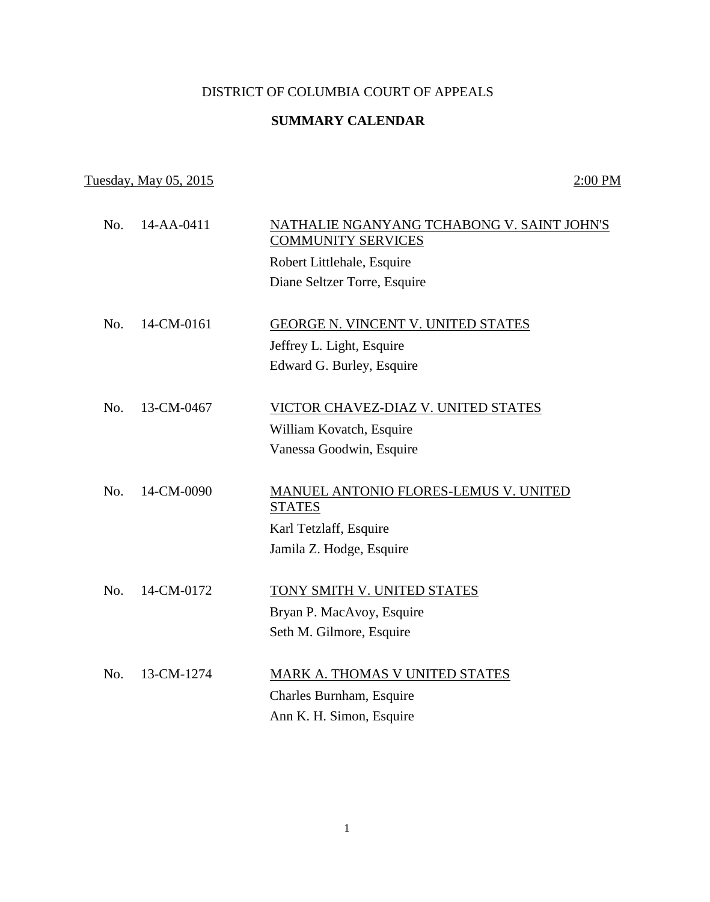## DISTRICT OF COLUMBIA COURT OF APPEALS

## **SUMMARY CALENDAR**

## Tuesday, May 05, 2015 2:00 PM

| No. | 14-AA-0411 | NATHALIE NGANYANG TCHABONG V. SAINT JOHN'S<br><b>COMMUNITY SERVICES</b><br>Robert Littlehale, Esquire<br>Diane Seltzer Torre, Esquire |
|-----|------------|---------------------------------------------------------------------------------------------------------------------------------------|
| No. | 14-CM-0161 | GEORGE N. VINCENT V. UNITED STATES<br>Jeffrey L. Light, Esquire<br>Edward G. Burley, Esquire                                          |
| No. | 13-CM-0467 | VICTOR CHAVEZ-DIAZ V. UNITED STATES<br>William Kovatch, Esquire<br>Vanessa Goodwin, Esquire                                           |
| No. | 14-CM-0090 | MANUEL ANTONIO FLORES-LEMUS V. UNITED<br><b>STATES</b><br>Karl Tetzlaff, Esquire<br>Jamila Z. Hodge, Esquire                          |
| No. | 14-CM-0172 | TONY SMITH V. UNITED STATES<br>Bryan P. MacAvoy, Esquire<br>Seth M. Gilmore, Esquire                                                  |
| No. | 13-CM-1274 | MARK A. THOMAS V UNITED STATES<br>Charles Burnham, Esquire<br>Ann K. H. Simon, Esquire                                                |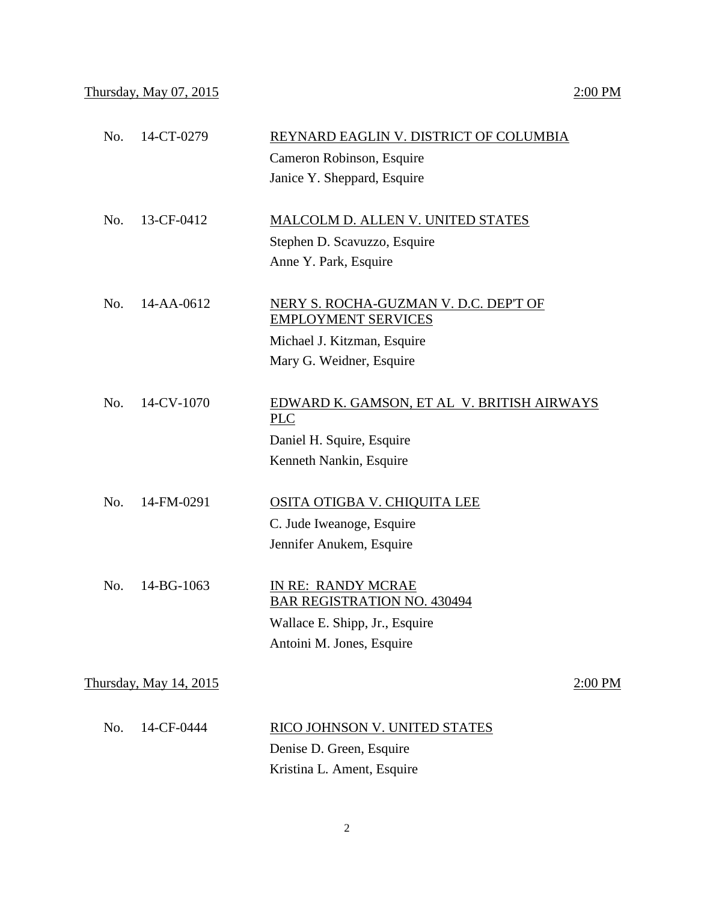| 14-CT-0279             | REYNARD EAGLIN V. DISTRICT OF COLUMBIA                              |
|------------------------|---------------------------------------------------------------------|
|                        | Cameron Robinson, Esquire                                           |
|                        | Janice Y. Sheppard, Esquire                                         |
| 13-CF-0412             | MALCOLM D. ALLEN V. UNITED STATES                                   |
|                        | Stephen D. Scavuzzo, Esquire                                        |
|                        | Anne Y. Park, Esquire                                               |
| 14-AA-0612             | NERY S. ROCHA-GUZMAN V. D.C. DEP'T OF<br><b>EMPLOYMENT SERVICES</b> |
|                        | Michael J. Kitzman, Esquire                                         |
|                        | Mary G. Weidner, Esquire                                            |
| 14-CV-1070             | EDWARD K. GAMSON, ET AL V. BRITISH AIRWAYS<br><b>PLC</b>            |
|                        | Daniel H. Squire, Esquire                                           |
|                        | Kenneth Nankin, Esquire                                             |
| 14-FM-0291             | <b>OSITA OTIGBA V. CHIQUITA LEE</b>                                 |
|                        | C. Jude Iweanoge, Esquire                                           |
|                        | Jennifer Anukem, Esquire                                            |
| 14-BG-1063             | IN RE: RANDY MCRAE<br><b>BAR REGISTRATION NO. 430494</b>            |
|                        | Wallace E. Shipp, Jr., Esquire                                      |
|                        | Antoini M. Jones, Esquire                                           |
| Thursday, May 14, 2015 | 2:00 PM                                                             |
| 14-CF-0444             | RICO JOHNSON V. UNITED STATES                                       |
|                        | Denise D. Green, Esquire                                            |
|                        | Kristina L. Ament, Esquire                                          |
|                        |                                                                     |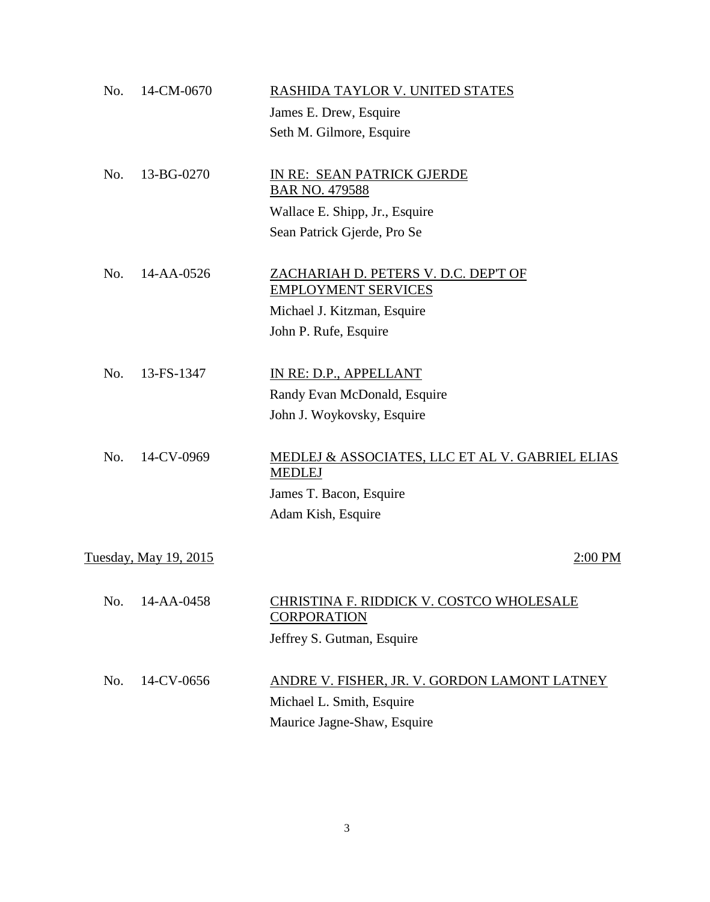| No. | 14-CM-0670            | RASHIDA TAYLOR V. UNITED STATES                                                                          |
|-----|-----------------------|----------------------------------------------------------------------------------------------------------|
|     |                       | James E. Drew, Esquire                                                                                   |
|     |                       | Seth M. Gilmore, Esquire                                                                                 |
| No. | 13-BG-0270            | IN RE: SEAN PATRICK GJERDE<br><b>BAR NO. 479588</b>                                                      |
|     |                       | Wallace E. Shipp, Jr., Esquire                                                                           |
|     |                       | Sean Patrick Gjerde, Pro Se                                                                              |
| No. | 14-AA-0526            | ZACHARIAH D. PETERS V. D.C. DEP'T OF<br><b>EMPLOYMENT SERVICES</b>                                       |
|     |                       | Michael J. Kitzman, Esquire                                                                              |
|     |                       | John P. Rufe, Esquire                                                                                    |
| No. | 13-FS-1347            | IN RE: D.P., APPELLANT                                                                                   |
|     |                       | Randy Evan McDonald, Esquire                                                                             |
|     |                       | John J. Woykovsky, Esquire                                                                               |
| No. | 14-CV-0969            | MEDLEJ & ASSOCIATES, LLC ET AL V. GABRIEL ELIAS<br><b>MEDLEJ</b>                                         |
|     |                       | James T. Bacon, Esquire                                                                                  |
|     |                       | Adam Kish, Esquire                                                                                       |
|     | Tuesday, May 19, 2015 | $2:00$ PM                                                                                                |
| No. | 14-AA-0458            | CHRISTINA F. RIDDICK V. COSTCO WHOLESALE<br><b>CORPORATION</b><br>Jeffrey S. Gutman, Esquire             |
| No. | 14-CV-0656            | ANDRE V. FISHER, JR. V. GORDON LAMONT LATNEY<br>Michael L. Smith, Esquire<br>Maurice Jagne-Shaw, Esquire |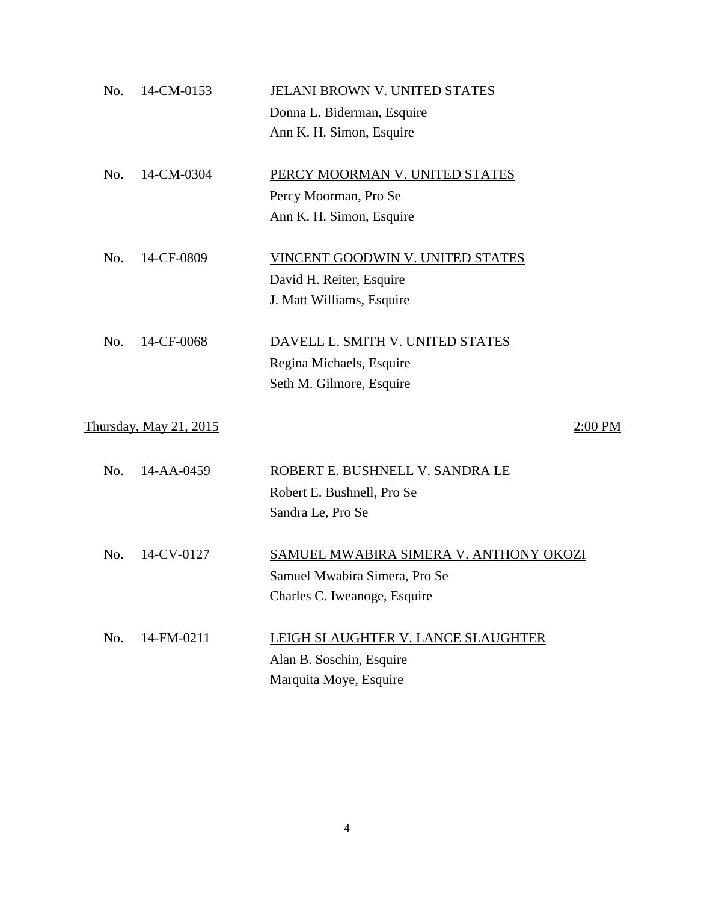| No. | 14-CM-0153             | JELANI BROWN V. UNITED STATES             |
|-----|------------------------|-------------------------------------------|
|     |                        | Donna L. Biderman, Esquire                |
|     |                        | Ann K. H. Simon, Esquire                  |
| No. | 14-CM-0304             | PERCY MOORMAN V. UNITED STATES            |
|     |                        | Percy Moorman, Pro Se                     |
|     |                        | Ann K. H. Simon, Esquire                  |
| No. | 14-CF-0809             | VINCENT GOODWIN V. UNITED STATES          |
|     |                        | David H. Reiter, Esquire                  |
|     |                        | J. Matt Williams, Esquire                 |
| No. | 14-CF-0068             | DAVELL L. SMITH V. UNITED STATES          |
|     |                        | Regina Michaels, Esquire                  |
|     |                        | Seth M. Gilmore, Esquire                  |
|     | Thursday, May 21, 2015 | 2:00 PM                                   |
| No. | 14-AA-0459             | ROBERT E. BUSHNELL V. SANDRA LE           |
|     |                        | Robert E. Bushnell, Pro Se                |
|     |                        | Sandra Le, Pro Se                         |
| No. | 14-CV-0127             | SAMUEL MWABIRA SIMERA V. ANTHONY OKOZI    |
|     |                        | Samuel Mwabira Simera, Pro Se             |
|     |                        | Charles C. Iweanoge, Esquire              |
| No. | 14-FM-0211             | <b>LEIGH SLAUGHTER V. LANCE SLAUGHTER</b> |
|     |                        | Alan B. Soschin, Esquire                  |
|     |                        | Marquita Moye, Esquire                    |
|     |                        |                                           |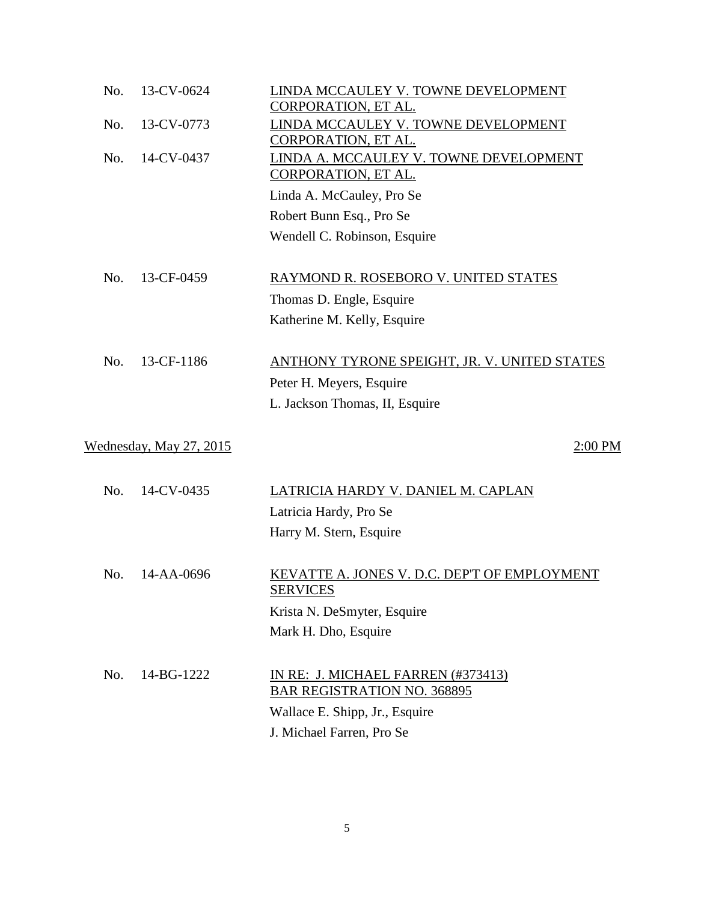| No. | 13-CV-0624              | LINDA MCCAULEY V. TOWNE DEVELOPMENT<br>CORPORATION, ET AL. |
|-----|-------------------------|------------------------------------------------------------|
| No. | 13-CV-0773              | LINDA MCCAULEY V. TOWNE DEVELOPMENT                        |
|     |                         | <b>CORPORATION, ET AL.</b>                                 |
| No. | 14-CV-0437              | LINDA A. MCCAULEY V. TOWNE DEVELOPMENT                     |
|     |                         | CORPORATION, ET AL.                                        |
|     |                         | Linda A. McCauley, Pro Se                                  |
|     |                         | Robert Bunn Esq., Pro Se                                   |
|     |                         | Wendell C. Robinson, Esquire                               |
|     |                         |                                                            |
| No. | 13-CF-0459              | RAYMOND R. ROSEBORO V. UNITED STATES                       |
|     |                         | Thomas D. Engle, Esquire                                   |
|     |                         | Katherine M. Kelly, Esquire                                |
|     | 13-CF-1186              |                                                            |
| No. |                         | <b>ANTHONY TYRONE SPEIGHT, JR. V. UNITED STATES</b>        |
|     |                         | Peter H. Meyers, Esquire                                   |
|     |                         | L. Jackson Thomas, II, Esquire                             |
|     | Wednesday, May 27, 2015 | 2:00 PM                                                    |
|     |                         |                                                            |
| No. | 14-CV-0435              | LATRICIA HARDY V. DANIEL M. CAPLAN                         |
|     |                         | Latricia Hardy, Pro Se                                     |
|     |                         | Harry M. Stern, Esquire                                    |
|     |                         |                                                            |
| No. | 14-AA-0696              | KEVATTE A. JONES V. D.C. DEP'T OF EMPLOYMENT               |
|     |                         | <b>SERVICES</b>                                            |
|     |                         | Krista N. DeSmyter, Esquire                                |
|     |                         | Mark H. Dho, Esquire                                       |
| No. | 14-BG-1222              | IN RE: J. MICHAEL FARREN (#373413)                         |
|     |                         | <b>BAR REGISTRATION NO. 368895</b>                         |
|     |                         | Wallace E. Shipp, Jr., Esquire                             |
|     |                         | J. Michael Farren, Pro Se                                  |
|     |                         |                                                            |